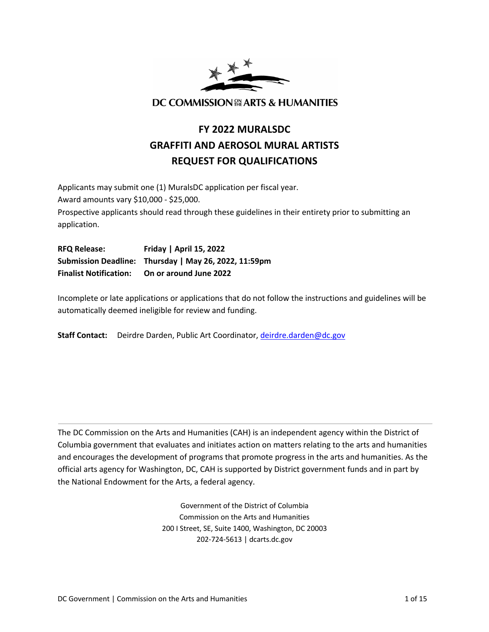

# **FY 2022 MURALSDC GRAFFITI AND AEROSOL MURAL ARTISTS REQUEST FOR QUALIFICATIONS**

Applicants may submit one (1) MuralsDC application per fiscal year. Award amounts vary \$10,000 - \$25,000. Prospective applicants should read through these guidelines in their entirety prior to submitting an application.

**RFQ Release: Friday | April 15, 2022 Submission Deadline: Thursday | May 26, 2022, 11:59pm Finalist Notification: On or around June 2022**

Incomplete or late applications or applications that do not follow the instructions and guidelines will be automatically deemed ineligible for review and funding.

**Staff Contact:** Deirdre Darden, Public Art Coordinator, [deirdre.darden@dc.gov](mailto:deirdre.darden@dc.gov)

The DC Commission on the Arts and Humanities (CAH) is an independent agency within the District of Columbia government that evaluates and initiates action on matters relating to the arts and humanities and encourages the development of programs that promote progress in the arts and humanities. As the official arts agency for Washington, DC, CAH is supported by District government funds and in part by the National Endowment for the Arts, a federal agency.

> Government of the District of Columbia Commission on the Arts and Humanities 200 I Street, SE, Suite 1400, Washington, DC 20003 202-724-5613 | dcarts.dc.gov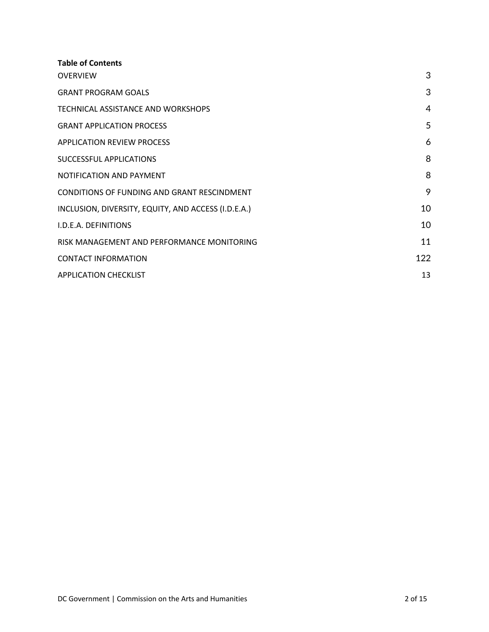| <b>Table of Contents</b>                            |     |
|-----------------------------------------------------|-----|
| <b>OVERVIEW</b>                                     | 3   |
| <b>GRANT PROGRAM GOALS</b>                          | 3   |
| TECHNICAL ASSISTANCE AND WORKSHOPS                  | 4   |
| <b>GRANT APPLICATION PROCESS</b>                    | 5   |
| APPLICATION REVIEW PROCESS                          | 6   |
| SUCCESSFUL APPLICATIONS                             | 8   |
| NOTIFICATION AND PAYMENT                            | 8   |
| CONDITIONS OF FUNDING AND GRANT RESCINDMENT         | 9   |
| INCLUSION, DIVERSITY, EQUITY, AND ACCESS (I.D.E.A.) | 10  |
| <b>I.D.E.A. DEFINITIONS</b>                         | 10  |
| RISK MANAGEMENT AND PERFORMANCE MONITORING          | 11  |
| <b>CONTACT INFORMATION</b>                          | 122 |
| <b>APPLICATION CHECKLIST</b>                        | 13  |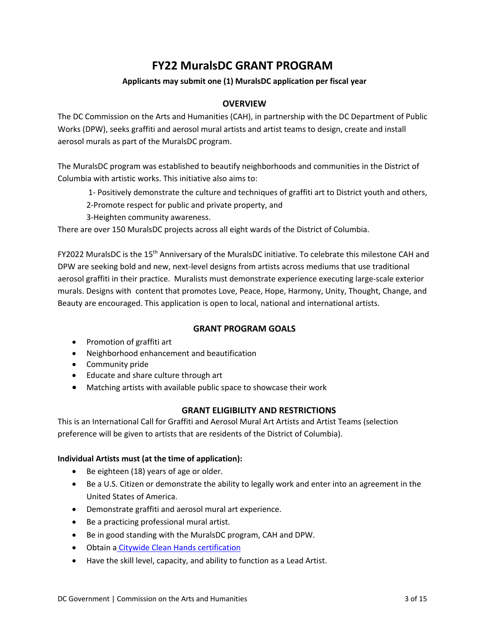# **FY22 MuralsDC GRANT PROGRAM**

# **Applicants may submit one (1) MuralsDC application per fiscal year**

# <span id="page-2-0"></span>**OVERVIEW**

The DC Commission on the Arts and Humanities (CAH), in partnership with the DC Department of Public Works (DPW), seeks graffiti and aerosol mural artists and artist teams to design, create and install aerosol murals as part of the MuralsDC program.

The MuralsDC program was established to beautify neighborhoods and communities in the District of Columbia with artistic works. This initiative also aims to:

1- Positively demonstrate the culture and techniques of graffiti art to District youth and others,

2-Promote respect for public and private property, and

3-Heighten community awareness.

There are over 150 MuralsDC projects across all eight wards of the District of Columbia.

FY2022 MuralsDC is the 15th Anniversary of the MuralsDC initiative. To celebrate this milestone CAH and DPW are seeking bold and new, next-level designs from artists across mediums that use traditional aerosol graffiti in their practice. Muralists must demonstrate experience executing large-scale exterior murals. Designs with content that promotes Love, Peace, Hope, Harmony, Unity, Thought, Change, and Beauty are encouraged. This application is open to local, national and international artists.

# <span id="page-2-1"></span>**GRANT PROGRAM GOALS**

- Promotion of graffiti art
- Neighborhood enhancement and beautification
- Community pride
- Educate and share culture through art
- Matching artists with available public space to showcase their work

# **GRANT ELIGIBILITY AND RESTRICTIONS**

This is an International Call for Graffiti and Aerosol Mural Art Artists and Artist Teams (selection preference will be given to artists that are residents of the District of Columbia).

# **Individual Artists must (at the time of application):**

- Be eighteen (18) years of age or older.
- Be a U.S. Citizen or demonstrate the ability to legally work and enter into an agreement in the United States of America.
- Demonstrate graffiti and aerosol mural art experience.
- Be a practicing professional mural artist.
- Be in good standing with the MuralsDC program, CAH and DPW.
- Obtain a [Citywide Clean Hands certification](https://mytax.dc.gov/_/)
- Have the skill level, capacity, and ability to function as a Lead Artist.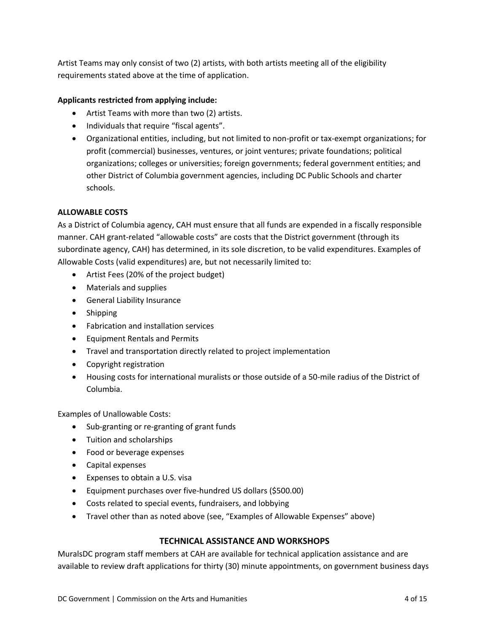Artist Teams may only consist of two (2) artists, with both artists meeting all of the eligibility requirements stated above at the time of application.

# **Applicants restricted from applying include:**

- Artist Teams with more than two (2) artists.
- Individuals that require "fiscal agents".
- Organizational entities, including, but not limited to non-profit or tax-exempt organizations; for profit (commercial) businesses, ventures, or joint ventures; private foundations; political organizations; colleges or universities; foreign governments; federal government entities; and other District of Columbia government agencies, including DC Public Schools and charter schools.

# **ALLOWABLE COSTS**

As a District of Columbia agency, CAH must ensure that all funds are expended in a fiscally responsible manner. CAH grant-related "allowable costs" are costs that the District government (through its subordinate agency, CAH) has determined, in its sole discretion, to be valid expenditures. Examples of Allowable Costs (valid expenditures) are, but not necessarily limited to:

- Artist Fees (20% of the project budget)
- Materials and supplies
- General Liability Insurance
- Shipping
- Fabrication and installation services
- Equipment Rentals and Permits
- Travel and transportation directly related to project implementation
- Copyright registration
- Housing costs for international muralists or those outside of a 50-mile radius of the District of Columbia.

Examples of Unallowable Costs:

- Sub-granting or re-granting of grant funds
- Tuition and scholarships
- Food or beverage expenses
- Capital expenses
- Expenses to obtain a U.S. visa
- Equipment purchases over five-hundred US dollars (\$500.00)
- Costs related to special events, fundraisers, and lobbying
- Travel other than as noted above (see, "Examples of Allowable Expenses" above)

# <span id="page-3-0"></span>**TECHNICAL ASSISTANCE AND WORKSHOPS**

MuralsDC program staff members at CAH are available for technical application assistance and are available to review draft applications for thirty (30) minute appointments, on government business days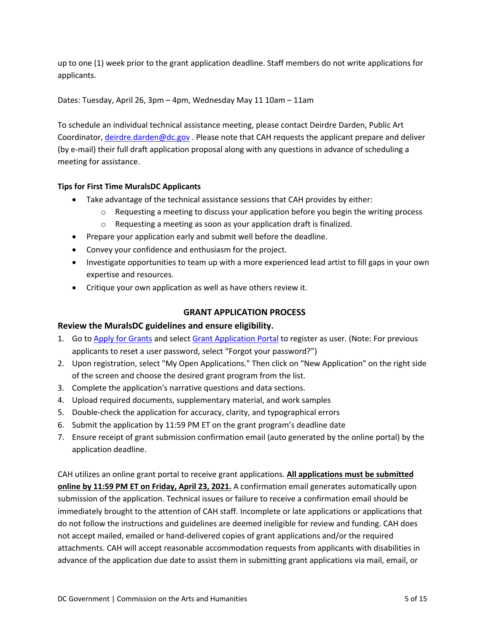up to one (1) week prior to the grant application deadline. Staff members do not write applications for applicants.

Dates: Tuesday, April 26, 3pm – 4pm, Wednesday May 11 10am – 11am

To schedule an individual technical assistance meeting, please contact Deirdre Darden, Public Art Coordinator, [deirdre.darden@dc.gov](mailto:deirdre.darden@dc.gov). Please note that CAH requests the applicant prepare and deliver (by e-mail) their full draft application proposal along with any questions in advance of scheduling a meeting for assistance.

# **Tips for First Time MuralsDC Applicants**

- Take advantage of the technical assistance sessions that CAH provides by either:
	- $\circ$  Requesting a meeting to discuss your application before you begin the writing process
	- o Requesting a meeting as soon as your application draft is finalized.
- Prepare your application early and submit well before the deadline.
- Convey your confidence and enthusiasm for the project.
- Investigate opportunities to team up with a more experienced lead artist to fill gaps in your own expertise and resources.
- Critique your own application as well as have others review it.

# <span id="page-4-0"></span>**GRANT APPLICATION PROCESS**

# **Review the MuralsDC guidelines and ensure eligibility.**

- 1. Go to [Apply for Grants](https://dcarts.dc.gov/service/cah-grants) and select [Grant Application Portal](https://jlweb.co/prod1/portal/portal.jsp?c=4193775&p=6947885&g=6947905) to register as user. (Note: For previous applicants to reset a user password, select "Forgot your password?")
- 2. Upon registration, select "My Open Applications." Then click on "New Application" on the right side of the screen and choose the desired grant program from the list.
- 3. Complete the application's narrative questions and data sections.
- 4. Upload required documents, supplementary material, and work samples
- 5. Double-check the application for accuracy, clarity, and typographical errors
- 6. Submit the application by 11:59 PM ET on the grant program's deadline date
- 7. Ensure receipt of grant submission confirmation email (auto generated by the online portal) by the application deadline.

CAH utilizes an online grant portal to receive grant applications. **All applications must be submitted online by 11:59 PM ET on Friday, April 23, 2021.** A confirmation email generates automatically upon submission of the application. Technical issues or failure to receive a confirmation email should be immediately brought to the attention of CAH staff. Incomplete or late applications or applications that do not follow the instructions and guidelines are deemed ineligible for review and funding. CAH does not accept mailed, emailed or hand-delivered copies of grant applications and/or the required attachments. CAH will accept reasonable accommodation requests from applicants with disabilities in advance of the application due date to assist them in submitting grant applications via mail, email, or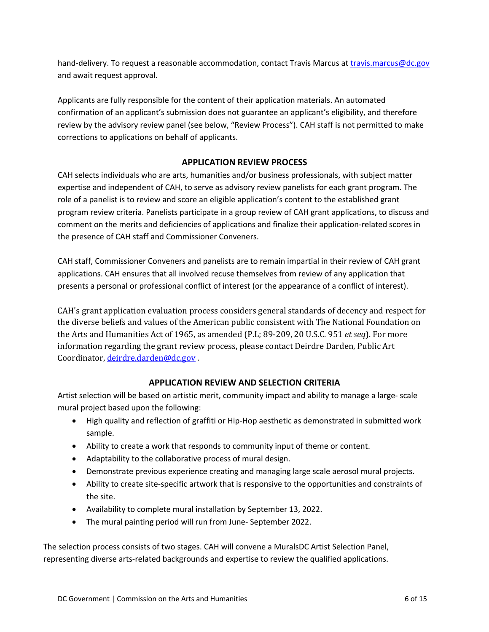hand-delivery. To request a reasonable accommodation, contact Travis Marcus at [travis.marcus@dc.gov](mailto:travis.marcus@dc.gov) and await request approval.

Applicants are fully responsible for the content of their application materials. An automated confirmation of an applicant's submission does not guarantee an applicant's eligibility, and therefore review by the advisory review panel (see below, "Review Process"). CAH staff is not permitted to make corrections to applications on behalf of applicants.

# <span id="page-5-0"></span>**APPLICATION REVIEW PROCESS**

CAH selects individuals who are arts, humanities and/or business professionals, with subject matter expertise and independent of CAH, to serve as advisory review panelists for each grant program. The role of a panelist is to review and score an eligible application's content to the established grant program review criteria. Panelists participate in a group review of CAH grant applications, to discuss and comment on the merits and deficiencies of applications and finalize their application-related scores in the presence of CAH staff and Commissioner Conveners.

CAH staff, Commissioner Conveners and panelists are to remain impartial in their review of CAH grant applications. CAH ensures that all involved recuse themselves from review of any application that presents a personal or professional conflict of interest (or the appearance of a conflict of interest).

CAH's grant application evaluation process considers general standards of decency and respect for the diverse beliefs and values of the American public consistent with The National Foundation on the Arts and Humanities Act of 1965, as amended (P.L; 89-209, 20 U.S.C. 951 *et seq*). For more information regarding the grant review process, please contact Deirdre Darden, Public Art Coordinator, deirdre.darden@dc.gov.

# **APPLICATION REVIEW AND SELECTION CRITERIA**

Artist selection will be based on artistic merit, community impact and ability to manage a large- scale mural project based upon the following:

- High quality and reflection of graffiti or Hip-Hop aesthetic as demonstrated in submitted work sample.
- Ability to create a work that responds to community input of theme or content.
- Adaptability to the collaborative process of mural design.
- Demonstrate previous experience creating and managing large scale aerosol mural projects.
- Ability to create site-specific artwork that is responsive to the opportunities and constraints of the site.
- Availability to complete mural installation by September 13, 2022.
- The mural painting period will run from June- September 2022.

The selection process consists of two stages. CAH will convene a MuralsDC Artist Selection Panel, representing diverse arts-related backgrounds and expertise to review the qualified applications.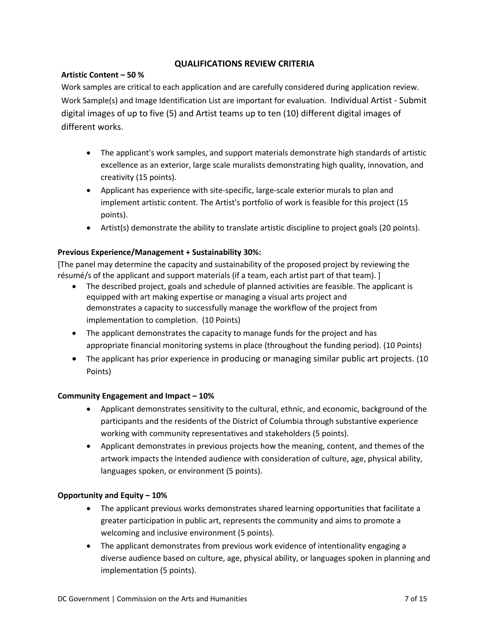# **QUALIFICATIONS REVIEW CRITERIA**

# **Artistic Content – 50 %**

Work samples are critical to each application and are carefully considered during application review. Work Sample(s) and Image Identification List are important for evaluation. Individual Artist - Submit digital images of up to five (5) and Artist teams up to ten (10) different digital images of different works.

- The applicant's work samples, and support materials demonstrate high standards of artistic excellence as an exterior, large scale muralists demonstrating high quality, innovation, and creativity (15 points).
- Applicant has experience with site-specific, large-scale exterior murals to plan and implement artistic content. The Artist's portfolio of work is feasible for this project (15 points).
- Artist(s) demonstrate the ability to translate artistic discipline to project goals (20 points).

# **Previous Experience/Management + Sustainability 30%:**

[The panel may determine the capacity and sustainability of the proposed project by reviewing the résumé/s of the applicant and support materials (if a team, each artist part of that team). ]

- The described project, goals and schedule of planned activities are feasible. The applicant is equipped with art making expertise or managing a visual arts project and demonstrates a capacity to successfully manage the workflow of the project from implementation to completion. (10 Points)
- The applicant demonstrates the capacity to manage funds for the project and has appropriate financial monitoring systems in place (throughout the funding period). (10 Points)
- The applicant has prior experience in producing or managing similar public art projects. (10 Points)

# **Community Engagement and Impact – 10%**

- Applicant demonstrates sensitivity to the cultural, ethnic, and economic, background of the participants and the residents of the District of Columbia through substantive experience working with community representatives and stakeholders (5 points).
- Applicant demonstrates in previous projects how the meaning, content, and themes of the artwork impacts the intended audience with consideration of culture, age, physical ability, languages spoken, or environment (5 points).

# **Opportunity and Equity – 10%**

- The applicant previous works demonstrates shared learning opportunities that facilitate a greater participation in public art, represents the community and aims to promote a welcoming and inclusive environment (5 points).
- The applicant demonstrates from previous work evidence of intentionality engaging a diverse audience based on culture, age, physical ability, or languages spoken in planning and implementation (5 points).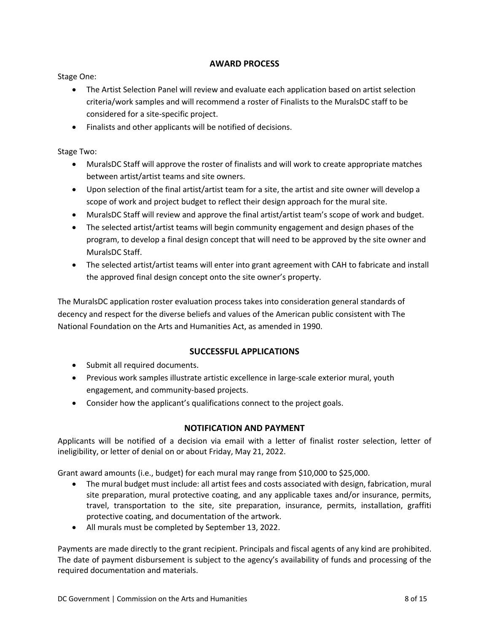# **AWARD PROCESS**

Stage One:

- The Artist Selection Panel will review and evaluate each application based on artist selection criteria/work samples and will recommend a roster of Finalists to the MuralsDC staff to be considered for a site-specific project.
- Finalists and other applicants will be notified of decisions.

Stage Two:

- MuralsDC Staff will approve the roster of finalists and will work to create appropriate matches between artist/artist teams and site owners.
- Upon selection of the final artist/artist team for a site, the artist and site owner will develop a scope of work and project budget to reflect their design approach for the mural site.
- MuralsDC Staff will review and approve the final artist/artist team's scope of work and budget.
- The selected artist/artist teams will begin community engagement and design phases of the program, to develop a final design concept that will need to be approved by the site owner and MuralsDC Staff.
- The selected artist/artist teams will enter into grant agreement with CAH to fabricate and install the approved final design concept onto the site owner's property.

The MuralsDC application roster evaluation process takes into consideration general standards of decency and respect for the diverse beliefs and values of the American public consistent with The National Foundation on the Arts and Humanities Act, as amended in 1990.

# <span id="page-7-0"></span>**SUCCESSFUL APPLICATIONS**

- Submit all required documents.
- Previous work samples illustrate artistic excellence in large-scale exterior mural, youth engagement, and community-based projects.
- Consider how the applicant's qualifications connect to the project goals.

# <span id="page-7-1"></span>**NOTIFICATION AND PAYMENT**

Applicants will be notified of a decision via email with a letter of finalist roster selection, letter of ineligibility, or letter of denial on or about Friday, May 21, 2022.

Grant award amounts (i.e., budget) for each mural may range from \$10,000 to \$25,000.

- The mural budget must include: all artist fees and costs associated with design, fabrication, mural site preparation, mural protective coating, and any applicable taxes and/or insurance, permits, travel, transportation to the site, site preparation, insurance, permits, installation, graffiti protective coating, and documentation of the artwork.
- All murals must be completed by September 13, 2022.

Payments are made directly to the grant recipient. Principals and fiscal agents of any kind are prohibited. The date of payment disbursement is subject to the agency's availability of funds and processing of the required documentation and materials.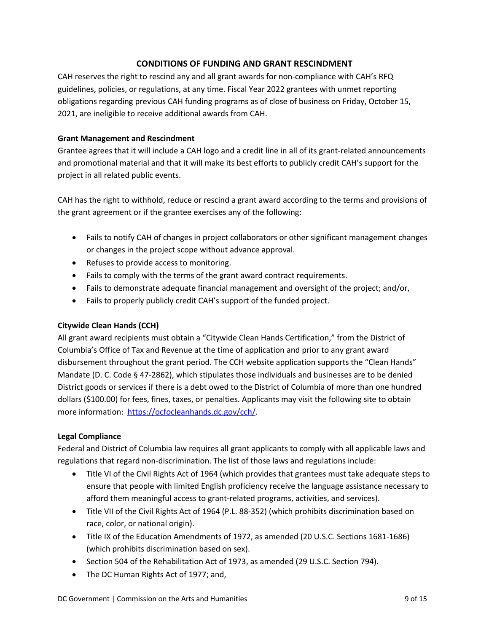# <span id="page-8-0"></span>**CONDITIONS OF FUNDING AND GRANT RESCINDMENT**

CAH reserves the right to rescind any and all grant awards for non-compliance with CAH's RFQ guidelines, policies, or regulations, at any time. Fiscal Year 2022 grantees with unmet reporting obligations regarding previous CAH funding programs as of close of business on Friday, October 15, 2021, are ineligible to receive additional awards from CAH.

# **Grant Management and Rescindment**

Grantee agrees that it will include a CAH logo and a credit line in all of its grant-related announcements and promotional material and that it will make its best efforts to publicly credit CAH's support for the project in all related public events.

CAH has the right to withhold, reduce or rescind a grant award according to the terms and provisions of the grant agreement or if the grantee exercises any of the following:

- Fails to notify CAH of changes in project collaborators or other significant management changes or changes in the project scope without advance approval.
- Refuses to provide access to monitoring.
- Fails to comply with the terms of the grant award contract requirements.
- Fails to demonstrate adequate financial management and oversight of the project; and/or,
- Fails to properly publicly credit CAH's support of the funded project.

# **Citywide Clean Hands (CCH)**

All grant award recipients must obtain a "Citywide Clean Hands Certification," from the District of Columbia's Office of Tax and Revenue at the time of application and prior to any grant award disbursement throughout the grant period. The CCH website application supports the "Clean Hands" Mandate (D. C. Code § 47-2862), which stipulates those individuals and businesses are to be denied District goods or services if there is a debt owed to the District of Columbia of more than one hundred dollars (\$100.00) for fees, fines, taxes, or penalties. Applicants may visit the following site to obtain more information: <https://ocfocleanhands.dc.gov/cch/>.

# **Legal Compliance**

Federal and District of Columbia law requires all grant applicants to comply with all applicable laws and regulations that regard non-discrimination. The list of those laws and regulations include:

- Title VI of the Civil Rights Act of 1964 (which provides that grantees must take adequate steps to ensure that people with limited English proficiency receive the language assistance necessary to afford them meaningful access to grant-related programs, activities, and services).
- Title VII of the Civil Rights Act of 1964 (P.L. 88-352) (which prohibits discrimination based on race, color, or national origin).
- Title IX of the Education Amendments of 1972, as amended (20 U.S.C. Sections 1681-1686) (which prohibits discrimination based on sex).
- Section 504 of the Rehabilitation Act of 1973, as amended (29 U.S.C. Section 794).
- The DC Human Rights Act of 1977; and,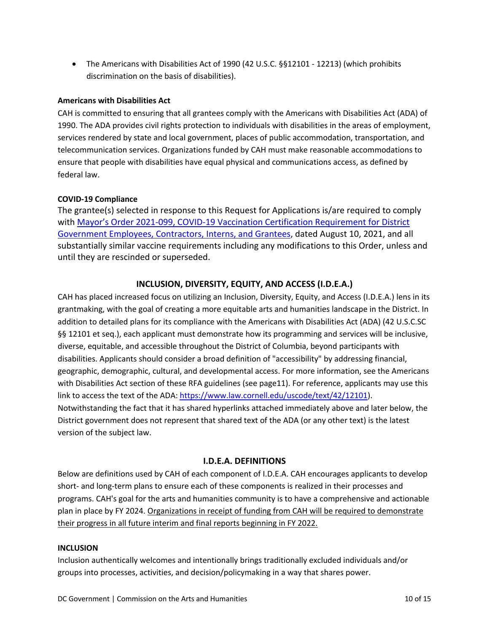• The Americans with Disabilities Act of 1990 (42 U.S.C. §§12101 - 12213) (which prohibits discrimination on the basis of disabilities).

# **Americans with Disabilities Act**

CAH is committed to ensuring that all grantees comply with the Americans with Disabilities Act (ADA) of 1990. The ADA provides civil rights protection to individuals with disabilities in the areas of employment, services rendered by state and local government, places of public accommodation, transportation, and telecommunication services. Organizations funded by CAH must make reasonable accommodations to ensure that people with disabilities have equal physical and communications access, as defined by federal law.

# **COVID-19 Compliance**

The grantee(s) selected in response to this Request for Applications is/are required to comply with [Mayor's Order 2021-099, COVID-19 Vaccination Certification Requirement for District](https://coronavirus.dc.gov/page/mayor%E2%80%99s-order-2021-099-covid-19-vaccination-certification-requirement-district-government) [Government Employees, Contractors, Interns, and Grantees](https://coronavirus.dc.gov/page/mayor%E2%80%99s-order-2021-099-covid-19-vaccination-certification-requirement-district-government), dated August 10, 2021, and all substantially similar vaccine requirements including any modifications to this Order, unless and until they are rescinded or superseded.

# <span id="page-9-0"></span>**INCLUSION, DIVERSITY, EQUITY, AND ACCESS (I.D.E.A.)**

CAH has placed increased focus on utilizing an Inclusion, Diversity, Equity, and Access (I.D.E.A.) lens in its grantmaking, with the goal of creating a more equitable arts and humanities landscape in the District. In addition to detailed plans for its compliance with the Americans with Disabilities Act (ADA) (42 U.S.C.SC §§ 12101 et seq.), each applicant must demonstrate how its programming and services will be inclusive, diverse, equitable, and accessible throughout the District of Columbia, beyond participants with disabilities. Applicants should consider a broad definition of "accessibility" by addressing financial, geographic, demographic, cultural, and developmental access. For more information, see the Americans with Disabilities Act section of these RFA guidelines (see page11). For reference, applicants may use this link to access the text of the ADA:<https://www.law.cornell.edu/uscode/text/42/12101>). Notwithstanding the fact that it has shared hyperlinks attached immediately above and later below, the District government does not represent that shared text of the ADA (or any other text) is the latest version of the subject law.

# <span id="page-9-1"></span>**I.D.E.A. DEFINITIONS**

Below are definitions used by CAH of each component of I.D.E.A. CAH encourages applicants to develop short- and long-term plans to ensure each of these components is realized in their processes and programs. CAH's goal for the arts and humanities community is to have a comprehensive and actionable plan in place by FY 2024. Organizations in receipt of funding from CAH will be required to demonstrate their progress in all future interim and final reports beginning in FY 2022.

# **INCLUSION**

Inclusion authentically welcomes and intentionally brings traditionally excluded individuals and/or groups into processes, activities, and decision/policymaking in a way that shares power.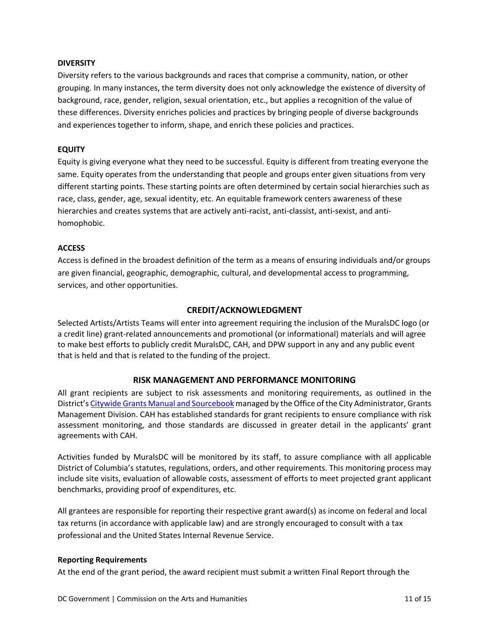#### **DIVERSITY**

Diversity refers to the various backgrounds and races that comprise a community, nation, or other grouping. In many instances, the term diversity does not only acknowledge the existence of diversity of background, race, gender, religion, sexual orientation, etc., but applies a recognition of the value of these differences. Diversity enriches policies and practices by bringing people of diverse backgrounds and experiences together to inform, shape, and enrich these policies and practices.

#### **EQUITY**

Equity is giving everyone what they need to be successful. Equity is different from treating everyone the same. Equity operates from the understanding that people and groups enter given situations from very different starting points. These starting points are often determined by certain social hierarchies such as race, class, gender, age, sexual identity, etc. An equitable framework centers awareness of these hierarchies and creates systems that are actively anti-racist, anti-classist, anti-sexist, and antihomophobic.

#### **ACCESS**

Access is defined in the broadest definition of the term as a means of ensuring individuals and/or groups are given financial, geographic, demographic, cultural, and developmental access to programming, services, and other opportunities.

#### <span id="page-10-0"></span>**CREDIT/ACKNOWLEDGMENT**

Selected Artists/Artists Teams will enter into agreement requiring the inclusion of the MuralsDC logo (or a credit line) grant-related announcements and promotional (or informational) materials and will agree to make best efforts to publicly credit MuralsDC, CAH, and DPW support in any and any public event that is held and that is related to the funding of the project.

# **RISK MANAGEMENT AND PERFORMANCE MONITORING**

All grant recipients are subject to risk assessments and monitoring requirements, as outlined in the District's [Citywide Grants Manual and Sourcebook](https://is.dc.gov/book/citywide-grant-manual-and-sourcebook) managed by the Office of the City Administrator, Grants Management Division. CAH has established standards for grant recipients to ensure compliance with risk assessment monitoring, and those standards are discussed in greater detail in the applicants' grant agreements with CAH.

Activities funded by MuralsDC will be monitored by its staff, to assure compliance with all applicable District of Columbia's statutes, regulations, orders, and other requirements. This monitoring process may include site visits, evaluation of allowable costs, assessment of efforts to meet projected grant applicant benchmarks, providing proof of expenditures, etc.

All grantees are responsible for reporting their respective grant award(s) as income on federal and local tax returns (in accordance with applicable law) and are strongly encouraged to consult with a tax professional and the United States Internal Revenue Service.

#### **Reporting Requirements**

At the end of the grant period, the award recipient must submit a written Final Report through the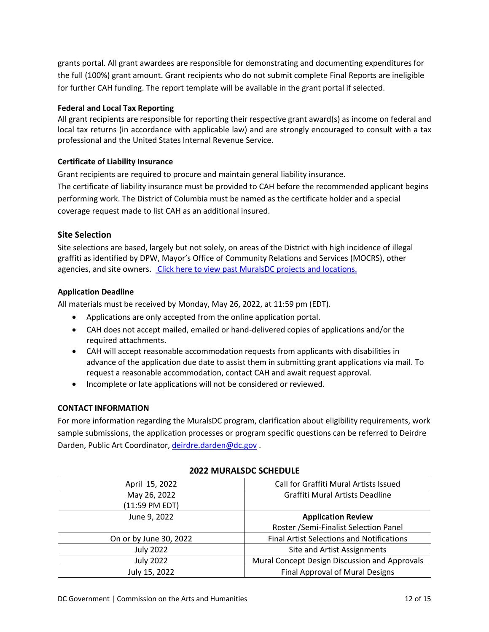grants portal. All grant awardees are responsible for demonstrating and documenting expenditures for the full (100%) grant amount. Grant recipients who do not submit complete Final Reports are ineligible for further CAH funding. The report template will be available in the grant portal if selected.

# **Federal and Local Tax Reporting**

All grant recipients are responsible for reporting their respective grant award(s) as income on federal and local tax returns (in accordance with applicable law) and are strongly encouraged to consult with a tax professional and the United States Internal Revenue Service.

# **Certificate of Liability Insurance**

Grant recipients are required to procure and maintain general liability insurance.

The certificate of liability insurance must be provided to CAH before the recommended applicant begins performing work. The District of Columbia must be named as the certificate holder and a special coverage request made to list CAH as an additional insured.

# **Site Selection**

Site selections are based, largely but not solely, on areas of the District with high incidence of illegal graffiti as identified by DPW, Mayor's Office of Community Relations and Services (MOCRS), other agencies, and site owners. [Click here to view past MuralsDC projects and locations.](http://muralsdcproject.com/archives/)

# **Application Deadline**

All materials must be received by Monday, May 26, 2022, at 11:59 pm (EDT).

- Applications are only accepted from the online application portal.
- CAH does not accept mailed, emailed or hand-delivered copies of applications and/or the required attachments.
- CAH will accept reasonable accommodation requests from applicants with disabilities in advance of the application due date to assist them in submitting grant applications via mail. To request a reasonable accommodation, contact CAH and await request approval.
- Incomplete or late applications will not be considered or reviewed.

# **CONTACT INFORMATION**

For more information regarding the MuralsDC program, clarification about eligibility requirements, work sample submissions, the application processes or program specific questions can be referred to Deirdre Darden, Public Art Coordinator, [deirdre.darden@dc.gov](mailto:deirdre.darden@dc.gov).

| April 15, 2022         | Call for Graffiti Mural Artists Issued           |
|------------------------|--------------------------------------------------|
| May 26, 2022           | Graffiti Mural Artists Deadline                  |
| (11:59 PM EDT)         |                                                  |
| June 9, 2022           | <b>Application Review</b>                        |
|                        | Roster /Semi-Finalist Selection Panel            |
| On or by June 30, 2022 | <b>Final Artist Selections and Notifications</b> |
| <b>July 2022</b>       | Site and Artist Assignments                      |
| <b>July 2022</b>       | Mural Concept Design Discussion and Approvals    |
| July 15, 2022          | Final Approval of Mural Designs                  |

# <span id="page-11-0"></span>**2022 MURALSDC SCHEDULE**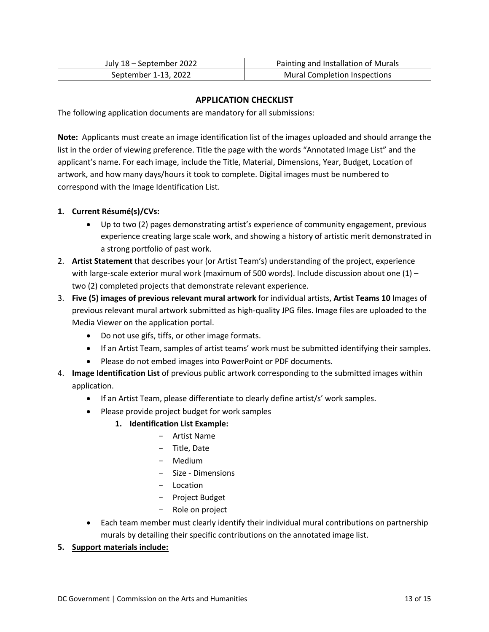| July 18 - September 2022 | Painting and Installation of Murals |
|--------------------------|-------------------------------------|
| September 1-13, 2022     | <b>Mural Completion Inspections</b> |

# **APPLICATION CHECKLIST**

The following application documents are mandatory for all submissions:

**Note:** Applicants must create an image identification list of the images uploaded and should arrange the list in the order of viewing preference. Title the page with the words "Annotated Image List" and the applicant's name. For each image, include the Title, Material, Dimensions, Year, Budget, Location of artwork, and how many days/hours it took to complete. Digital images must be numbered to correspond with the Image Identification List.

# **1. Current Résumé(s)/CVs:**

- Up to two (2) pages demonstrating artist's experience of community engagement, previous experience creating large scale work, and showing a history of artistic merit demonstrated in a strong portfolio of past work.
- 2. **Artist Statement** that describes your (or Artist Team's) understanding of the project, experience with large-scale exterior mural work (maximum of 500 words). Include discussion about one  $(1)$  – two (2) completed projects that demonstrate relevant experience.
- 3. **Five (5) images of previous relevant mural artwork** for individual artists, **Artist Teams 10** Images of previous relevant mural artwork submitted as high-quality JPG files. Image files are uploaded to the Media Viewer on the application portal.
	- Do not use gifs, tiffs, or other image formats.
	- If an Artist Team, samples of artist teams' work must be submitted identifying their samples.
	- Please do not embed images into PowerPoint or PDF documents.
- 4. **Image Identification List** of previous public artwork corresponding to the submitted images within application.
	- If an Artist Team, please differentiate to clearly define artist/s' work samples.
	- Please provide project budget for work samples
		- **1. Identification List Example:**
			- Artist Name
			- Title, Date
			- Medium
			- Size Dimensions
			- Location
			- Project Budget
			- Role on project
	- Each team member must clearly identify their individual mural contributions on partnership murals by detailing their specific contributions on the annotated image list.

# **5. Support materials include:**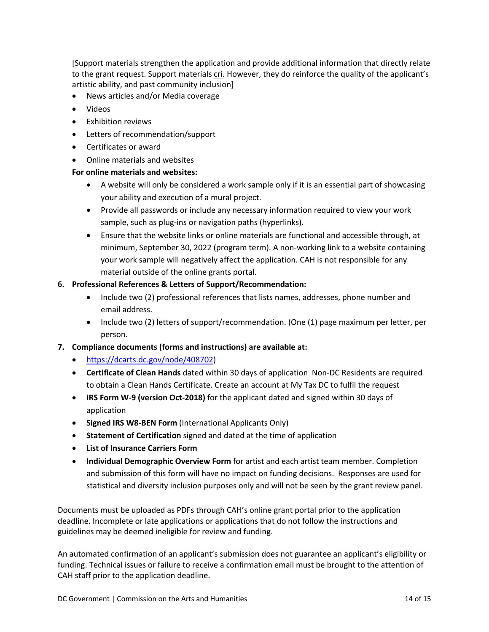[Support materials strengthen the application and provide additional information that directly relate to the grant request. Support materials cri. However, they do reinforce the quality of the applicant's artistic ability, and past community inclusion]

- News articles and/or Media coverage
- Videos
- Exhibition reviews
- Letters of recommendation/support
- Certificates or award
- Online materials and websites

# **For online materials and websites:**

- A website will only be considered a work sample only if it is an essential part of showcasing your ability and execution of a mural project.
- Provide all passwords or include any necessary information required to view your work sample, such as plug-ins or navigation paths (hyperlinks).
- Ensure that the website links or online materials are functional and accessible through, at minimum, September 30, 2022 (program term). A non-working link to a website containing your work sample will negatively affect the application. CAH is not responsible for any material outside of the online grants portal.

# **6. Professional References & Letters of Support/Recommendation:**

- Include two (2) professional references that lists names, addresses, phone number and email address.
- Include two (2) letters of support/recommendation. (One (1) page maximum per letter, per person.
- **7. Compliance documents (forms and instructions) are available at:**
	- <https://dcarts.dc.gov/node/408702>)
	- **Certificate of Clean Hands** dated within 30 days of application Non-DC Residents are required to obtain a Clean Hands Certificate. Create an account at My Tax DC to fulfil the request
	- **IRS Form W-9 (version Oct-2018)** for the applicant dated and signed within 30 days of application
	- **Signed IRS W8-BEN Form** (International Applicants Only)
	- **Statement of Certification** signed and dated at the time of application
	- **List of Insurance Carriers Form**
	- **Individual Demographic Overview Form** for artist and each artist team member. Completion and submission of this form will have no impact on funding decisions. Responses are used for statistical and diversity inclusion purposes only and will not be seen by the grant review panel.

Documents must be uploaded as PDFs through CAH's online grant portal prior to the application deadline. Incomplete or late applications or applications that do not follow the instructions and guidelines may be deemed ineligible for review and funding.

An automated confirmation of an applicant's submission does not guarantee an applicant's eligibility or funding. Technical issues or failure to receive a confirmation email must be brought to the attention of CAH staff prior to the application deadline.